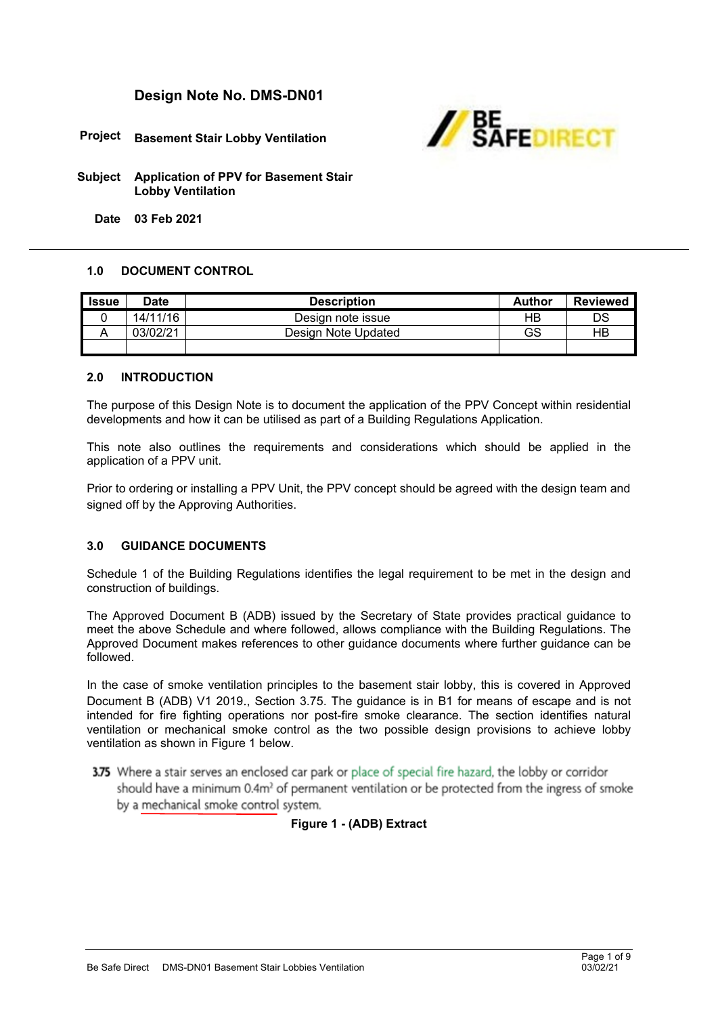# **Design Note No. DMS-DN01**



**Project Basement Stair Lobby Ventilation**

**Subject Application of PPV for Basement Stair Lobby Ventilation**

**Date 03 Feb 2021**

## **1.0 DOCUMENT CONTROL**

| l Issue | <b>Date</b> | <b>Description</b>  | <b>Author</b> | <b>Reviewed</b> |
|---------|-------------|---------------------|---------------|-----------------|
|         | 14/11/16    | Design note issue   | НB            | DS              |
|         | 03/02/21    | Design Note Updated | GS            | НB              |
|         |             |                     |               |                 |

#### **2.0 INTRODUCTION**

The purpose of this Design Note is to document the application of the PPV Concept within residential developments and how it can be utilised as part of a Building Regulations Application.

This note also outlines the requirements and considerations which should be applied in the application of a PPV unit.

Prior to ordering or installing a PPV Unit, the PPV concept should be agreed with the design team and signed off by the Approving Authorities.

#### **3.0 GUIDANCE DOCUMENTS**

Schedule 1 of the Building Regulations identifies the legal requirement to be met in the design and construction of buildings.

The Approved Document B (ADB) issued by the Secretary of State provides practical guidance to meet the above Schedule and where followed, allows compliance with the Building Regulations. The Approved Document makes references to other guidance documents where further guidance can be followed.

In the case of smoke ventilation principles to the basement stair lobby, this is covered in Approved Document B (ADB) V1 2019., Section 3.75. The guidance is in B1 for means of escape and is not intended for fire fighting operations nor post-fire smoke clearance. The section identifies natural ventilation or mechanical smoke control as the two possible design provisions to achieve lobby ventilation as shown in Figure 1 below.

3.75 Where a stair serves an enclosed car park or place of special fire hazard, the lobby or corridor should have a minimum 0.4m<sup>2</sup> of permanent ventilation or be protected from the ingress of smoke by a mechanical smoke control system.

# **Figure 1 - (ADB) Extract**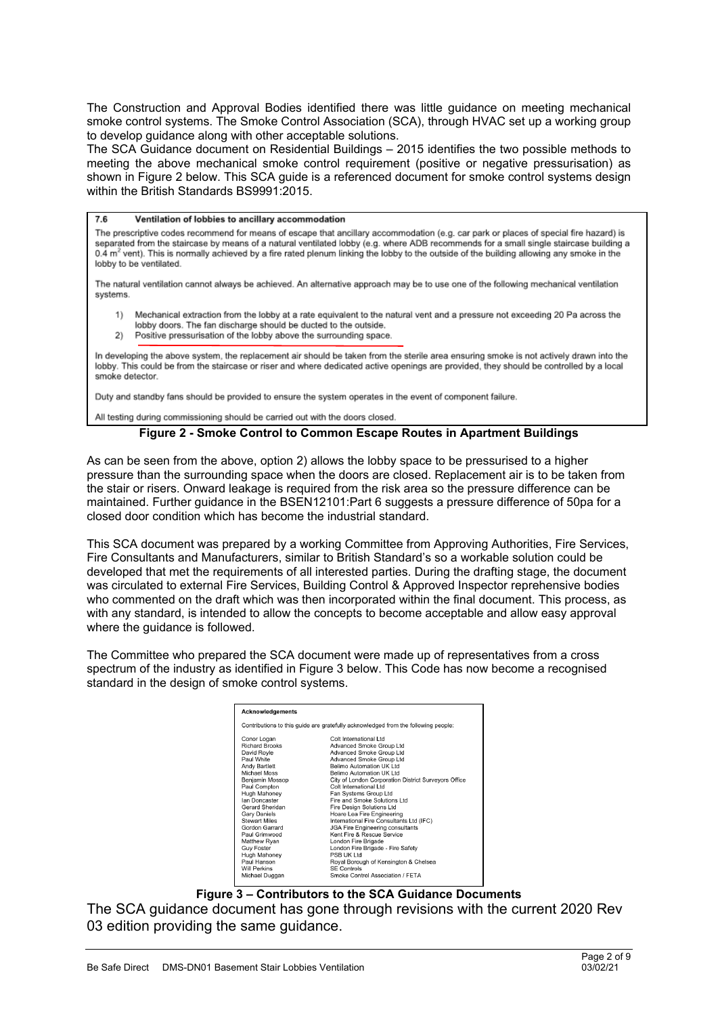The Construction and Approval Bodies identified there was little guidance on meeting mechanical smoke control systems. The Smoke Control Association (SCA), through HVAC set up a working group to develop guidance along with other acceptable solutions.

The SCA Guidance document on Residential Buildings – 2015 identifies the two possible methods to meeting the above mechanical smoke control requirement (positive or negative pressurisation) as shown in Figure 2 below. This SCA guide is a referenced document for smoke control systems design within the British Standards BS9991:2015.

76 Ventilation of lobbies to ancillary accommodation The prescriptive codes recommend for means of escape that ancillary accommodation (e.g. car park or places of special fire hazard) is separated from the staircase by means of a natural ventilated lobby (e.g. where ADB recommends for a small single staircase building a 0.4 m<sup>2</sup> vent). This is normally achieved by a fire rated plenum linking the lobby to the outside of the building allowing any smoke in the lobby to be ventilated.

The natural ventilation cannot always be achieved. An alternative approach may be to use one of the following mechanical ventilation systems.

- 1) Mechanical extraction from the lobby at a rate equivalent to the natural vent and a pressure not exceeding 20 Pa across the lobby doors. The fan discharge should be ducted to the outside.
- Positive pressurisation of the lobby above the surrounding space.

In developing the above system, the replacement air should be taken from the sterile area ensuring smoke is not actively drawn into the lobby. This could be from the staircase or riser and where dedicated active openings are provided, they should be controlled by a local smoke detector.

Duty and standby fans should be provided to ensure the system operates in the event of component failure.

All testing during commissioning should be carried out with the doors closed.

#### **Figure 2 - Smoke Control to Common Escape Routes in Apartment Buildings**

As can be seen from the above, option 2) allows the lobby space to be pressurised to a higher pressure than the surrounding space when the doors are closed. Replacement air is to be taken from the stair or risers. Onward leakage is required from the risk area so the pressure difference can be maintained. Further guidance in the BSEN12101:Part 6 suggests a pressure difference of 50pa for a closed door condition which has become the industrial standard.

This SCA document was prepared by a working Committee from Approving Authorities, Fire Services, Fire Consultants and Manufacturers, similar to British Standard's so a workable solution could be developed that met the requirements of all interested parties. During the drafting stage, the document was circulated to external Fire Services, Building Control & Approved Inspector reprehensive bodies who commented on the draft which was then incorporated within the final document. This process, as with any standard, is intended to allow the concepts to become acceptable and allow easy approval where the guidance is followed.

The Committee who prepared the SCA document were made up of representatives from a cross spectrum of the industry as identified in Figure 3 below. This Code has now become a recognised standard in the design of smoke control systems.

| Acknowledgements                                                                                                                                                                                                                                                                                                                                                              |                                                                                                                                                                                                                                                                                                                                                                                                                                                                                                                                                                                                                                                  |  |  |  |  |  |  |
|-------------------------------------------------------------------------------------------------------------------------------------------------------------------------------------------------------------------------------------------------------------------------------------------------------------------------------------------------------------------------------|--------------------------------------------------------------------------------------------------------------------------------------------------------------------------------------------------------------------------------------------------------------------------------------------------------------------------------------------------------------------------------------------------------------------------------------------------------------------------------------------------------------------------------------------------------------------------------------------------------------------------------------------------|--|--|--|--|--|--|
| Contributions to this guide are gratefully acknowledged from the following people:                                                                                                                                                                                                                                                                                            |                                                                                                                                                                                                                                                                                                                                                                                                                                                                                                                                                                                                                                                  |  |  |  |  |  |  |
| Conor Logan<br><b>Richard Brooks</b><br>David Royle<br>Paul White<br>Andy Bartlett<br><b>Michael Moss</b><br>Benjamin Mossop<br>Paul Compton<br>Hugh Mahoney<br><b>Jan Doncaster</b><br>Gerard Sheridan<br><b>Gary Daniels</b><br><b>Stewart Miles</b><br>Gordon Garrard<br>Paul Grimwood<br>Matthew Ryan<br><b>Guy Foster</b><br>Hugh Mahoney<br>Paul Hanson<br>Will Perkins | Colt International Ltd<br>Advanced Smoke Group Ltd<br>Advanced Smoke Group Ltd<br>Advanced Smoke Group Ltd<br>Belimo Automation UK I td.<br>Belimo Automation UK Ltd<br>City of London Corporation District Surveyors Office<br>Colt International I td<br>Fan Systems Group Ltd<br>Fire and Smoke Solutions Ltd<br><b>Fire Design Solutions Ltd</b><br>Hoare Lea Fire Engineering<br>International Fire Consultants Ltd (IFC)<br><b>JGA Fire Engineering consultants</b><br>Kent Fire & Rescue Service<br>London Fire Brigade<br>London Fire Brigade - Fire Safety<br>PSB UK Ltd<br>Royal Borough of Kensington & Chelsea<br><b>SF Controls</b> |  |  |  |  |  |  |
| Michael Duggan                                                                                                                                                                                                                                                                                                                                                                | Smoke Control Association / FFTA                                                                                                                                                                                                                                                                                                                                                                                                                                                                                                                                                                                                                 |  |  |  |  |  |  |

#### **Figure 3 – Contributors to the SCA Guidance Documents**

The SCA guidance document has gone through revisions with the current 2020 Rev 03 edition providing the same guidance.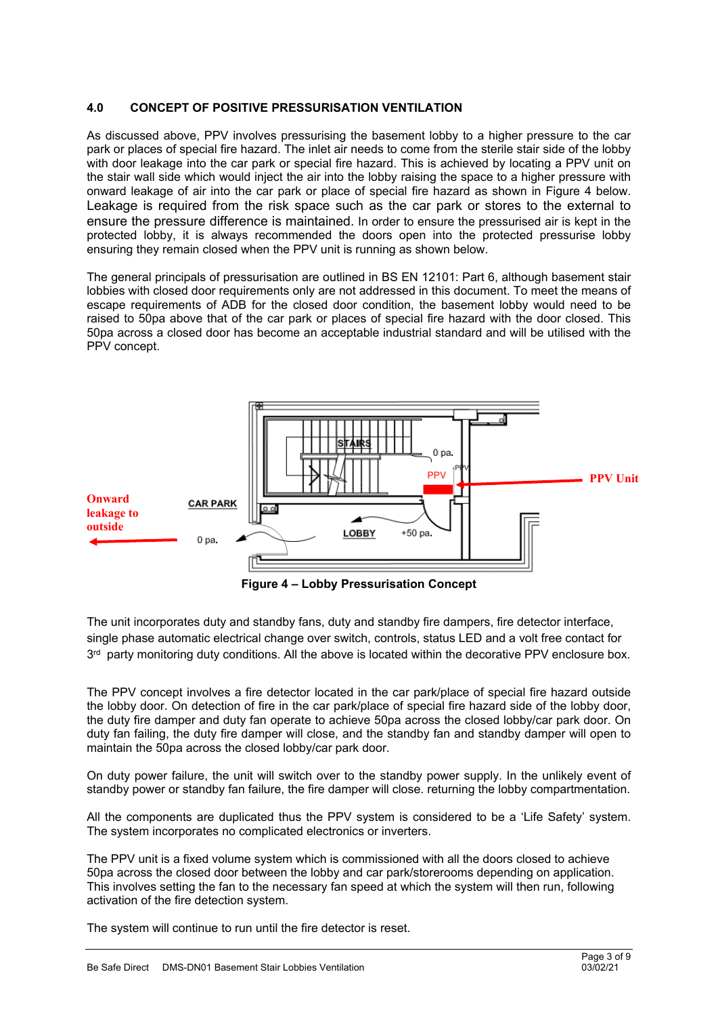## **4.0 CONCEPT OF POSITIVE PRESSURISATION VENTILATION**

As discussed above, PPV involves pressurising the basement lobby to a higher pressure to the car park or places of special fire hazard. The inlet air needs to come from the sterile stair side of the lobby with door leakage into the car park or special fire hazard. This is achieved by locating a PPV unit on the stair wall side which would inject the air into the lobby raising the space to a higher pressure with onward leakage of air into the car park or place of special fire hazard as shown in Figure 4 below. Leakage is required from the risk space such as the car park or stores to the external to ensure the pressure difference is maintained. In order to ensure the pressurised air is kept in the protected lobby, it is always recommended the doors open into the protected pressurise lobby ensuring they remain closed when the PPV unit is running as shown below.

The general principals of pressurisation are outlined in BS EN 12101: Part 6, although basement stair lobbies with closed door requirements only are not addressed in this document. To meet the means of escape requirements of ADB for the closed door condition, the basement lobby would need to be raised to 50pa above that of the car park or places of special fire hazard with the door closed. This 50pa across a closed door has become an acceptable industrial standard and will be utilised with the PPV concept.



**Figure 4 – Lobby Pressurisation Concept**

The unit incorporates duty and standby fans, duty and standby fire dampers, fire detector interface, single phase automatic electrical change over switch, controls, status LED and a volt free contact for  $3<sup>rd</sup>$  party monitoring duty conditions. All the above is located within the decorative PPV enclosure box.

The PPV concept involves a fire detector located in the car park/place of special fire hazard outside the lobby door. On detection of fire in the car park/place of special fire hazard side of the lobby door, the duty fire damper and duty fan operate to achieve 50pa across the closed lobby/car park door. On duty fan failing, the duty fire damper will close, and the standby fan and standby damper will open to maintain the 50pa across the closed lobby/car park door.

On duty power failure, the unit will switch over to the standby power supply. In the unlikely event of standby power or standby fan failure, the fire damper will close. returning the lobby compartmentation.

All the components are duplicated thus the PPV system is considered to be a 'Life Safety' system. The system incorporates no complicated electronics or inverters.

The PPV unit is a fixed volume system which is commissioned with all the doors closed to achieve 50pa across the closed door between the lobby and car park/storerooms depending on application. This involves setting the fan to the necessary fan speed at which the system will then run, following activation of the fire detection system.

The system will continue to run until the fire detector is reset.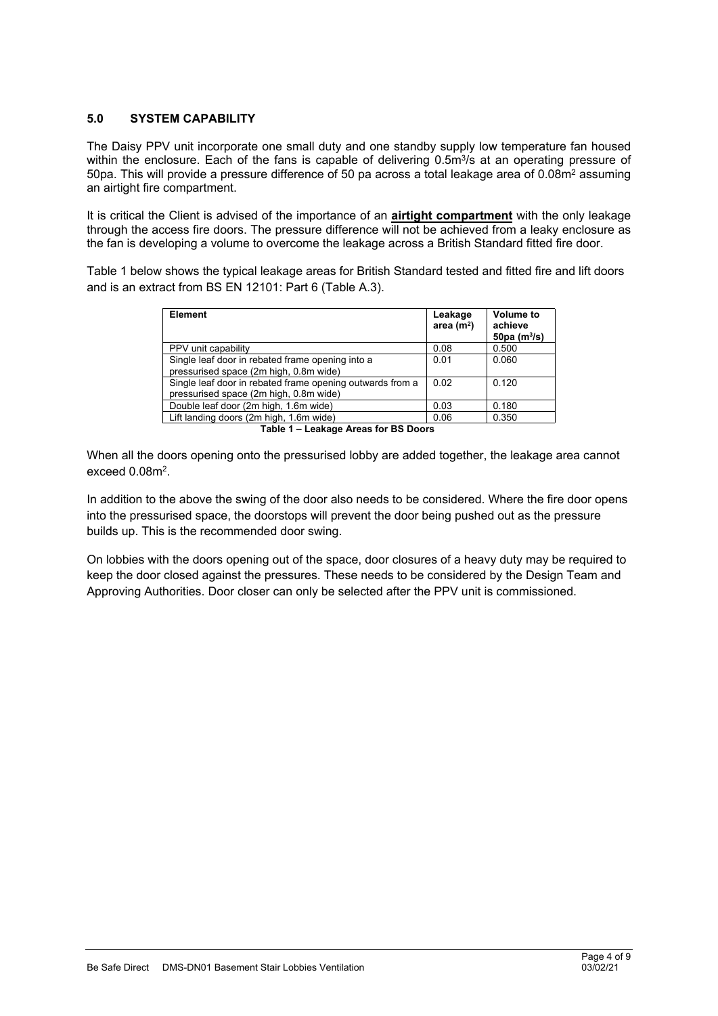## **5.0 SYSTEM CAPABILITY**

The Daisy PPV unit incorporate one small duty and one standby supply low temperature fan housed within the enclosure. Each of the fans is capable of delivering 0.5m<sup>3</sup>/s at an operating pressure of 50pa. This will provide a pressure difference of 50 pa across a total leakage area of  $0.08<sup>m2</sup>$  assuming an airtight fire compartment.

It is critical the Client is advised of the importance of an **airtight compartment** with the only leakage through the access fire doors. The pressure difference will not be achieved from a leaky enclosure as the fan is developing a volume to overcome the leakage across a British Standard fitted fire door.

Table 1 below shows the typical leakage areas for British Standard tested and fitted fire and lift doors and is an extract from BS EN 12101: Part 6 (Table A.3).

| <b>Element</b>                                                                                      | Leakage<br>area $(m2)$ | <b>Volume to</b><br>achieve<br>50pa $(m^3/s)$ |  |  |  |
|-----------------------------------------------------------------------------------------------------|------------------------|-----------------------------------------------|--|--|--|
| PPV unit capability                                                                                 | 0.08                   | 0.500                                         |  |  |  |
| Single leaf door in rebated frame opening into a<br>pressurised space (2m high, 0.8m wide)          | 0.01                   | 0.060                                         |  |  |  |
| Single leaf door in rebated frame opening outwards from a<br>pressurised space (2m high, 0.8m wide) | 0.02                   | 0.120                                         |  |  |  |
| Double leaf door (2m high, 1.6m wide)                                                               | 0.03                   | 0.180                                         |  |  |  |
| Lift landing doors (2m high, 1.6m wide)                                                             | 0.06                   | 0.350                                         |  |  |  |
| Table 1 - Leakane Areas for RS Doors                                                                |                        |                                               |  |  |  |

**Table 1 – Leakage Areas for BS Doors**

When all the doors opening onto the pressurised lobby are added together, the leakage area cannot exceed 0.08m<sup>2</sup>.

In addition to the above the swing of the door also needs to be considered. Where the fire door opens into the pressurised space, the doorstops will prevent the door being pushed out as the pressure builds up. This is the recommended door swing.

On lobbies with the doors opening out of the space, door closures of a heavy duty may be required to keep the door closed against the pressures. These needs to be considered by the Design Team and Approving Authorities. Door closer can only be selected after the PPV unit is commissioned.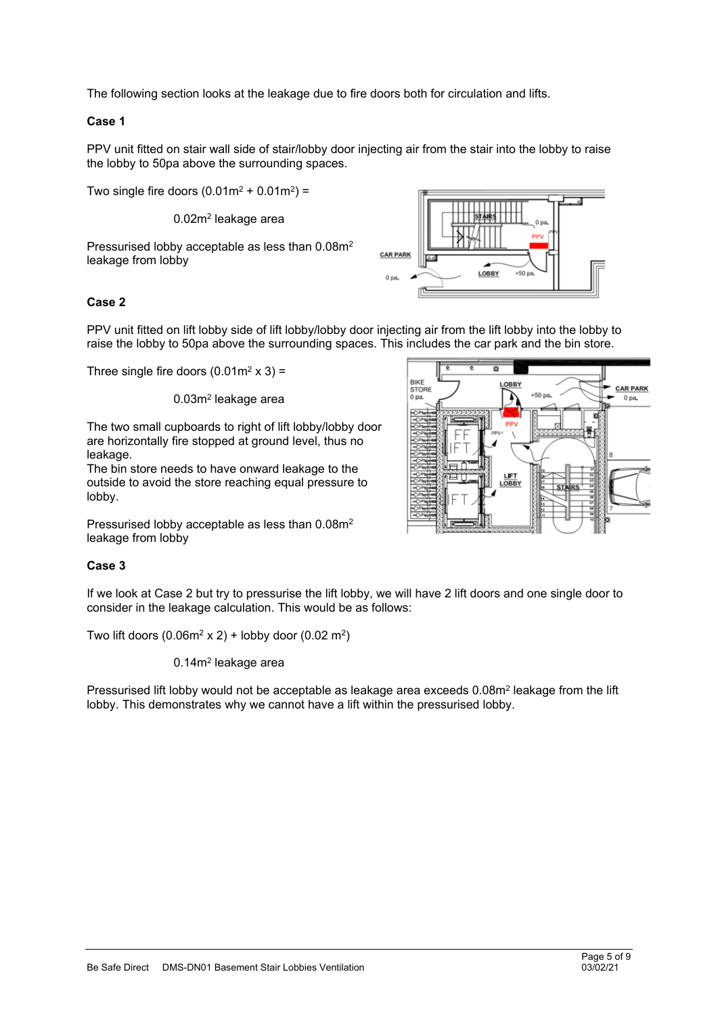The following section looks at the leakage due to fire doors both for circulation and lifts.

## **Case 1**

PPV unit fitted on stair wall side of stair/lobby door injecting air from the stair into the lobby to raise the lobby to 50pa above the surrounding spaces.

Two single fire doors  $(0.01m^2 + 0.01m^2)$  =

0.02m<sup>2</sup> leakage area

Pressurised lobby acceptable as less than 0.08m<sup>2</sup> leakage from lobby



## **Case 2**

PPV unit fitted on lift lobby side of lift lobby/lobby door injecting air from the lift lobby into the lobby to raise the lobby to 50pa above the surrounding spaces. This includes the car park and the bin store.

Three single fire doors  $(0.01 \text{m}^2 \times 3)$  =

#### 0.03m<sup>2</sup> leakage area

The two small cupboards to right of lift lobby/lobby door are horizontally fire stopped at ground level, thus no leakage.

The bin store needs to have onward leakage to the outside to avoid the store reaching equal pressure to lobby.

Pressurised lobby acceptable as less than 0.08m<sup>2</sup> leakage from lobby

#### **Case 3**

If we look at Case 2 but try to pressurise the lift lobby, we will have 2 lift doors and one single door to consider in the leakage calculation. This would be as follows:

Two lift doors  $(0.06m^2 \times 2)$  + lobby door  $(0.02 \text{ m}^2)$ 

#### 0.14m<sup>2</sup> leakage area

Pressurised lift lobby would not be acceptable as leakage area exceeds 0.08m<sup>2</sup> leakage from the lift lobby. This demonstrates why we cannot have a lift within the pressurised lobby.

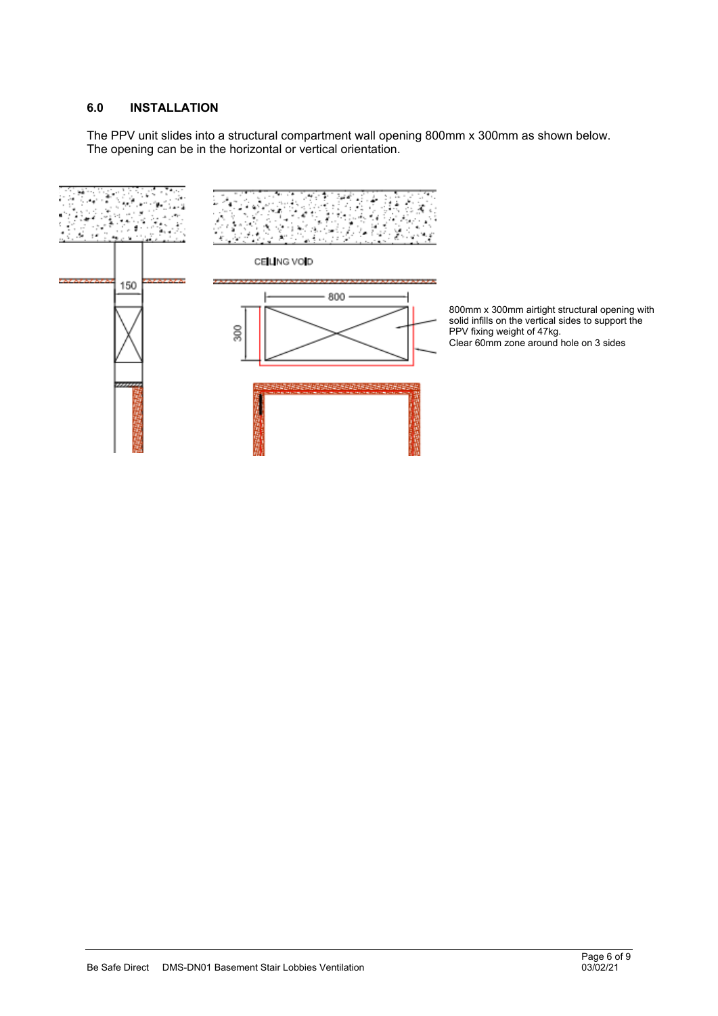#### **6.0 INSTALLATION**

The PPV unit slides into a structural compartment wall opening 800mm x 300mm as shown below. The opening can be in the horizontal or vertical orientation.

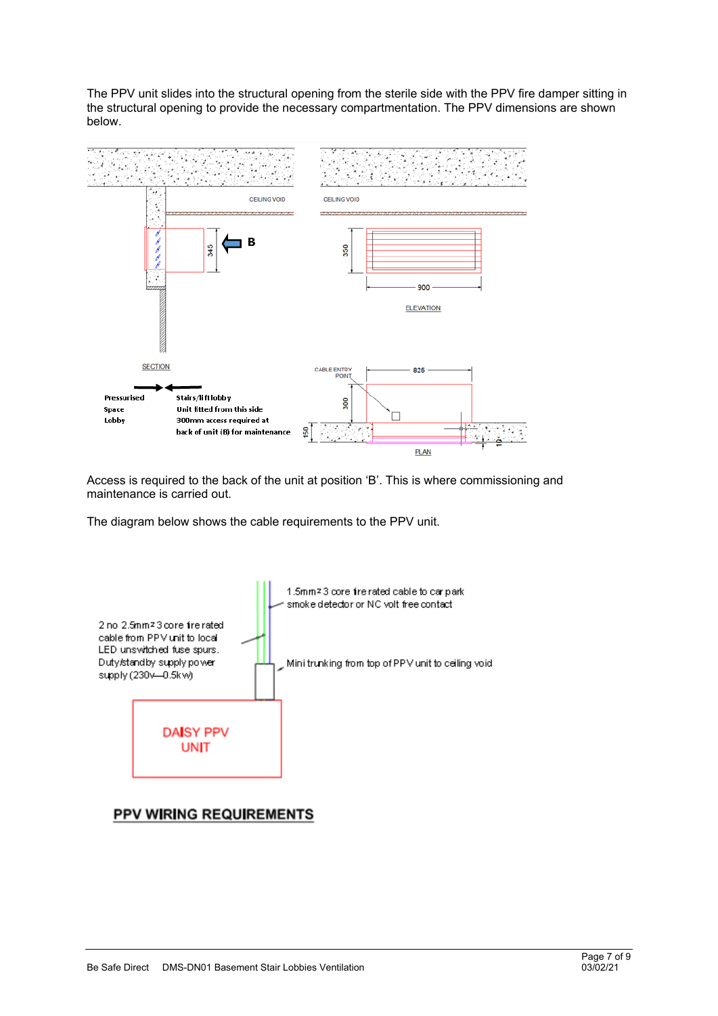The PPV unit slides into the structural opening from the sterile side with the PPV fire damper sitting in the structural opening to provide the necessary compartmentation. The PPV dimensions are shown below.



Access is required to the back of the unit at position 'B'. This is where commissioning and maintenance is carried out.

The diagram below shows the cable requirements to the PPV unit.



# PPV WIRING REQUIREMENTS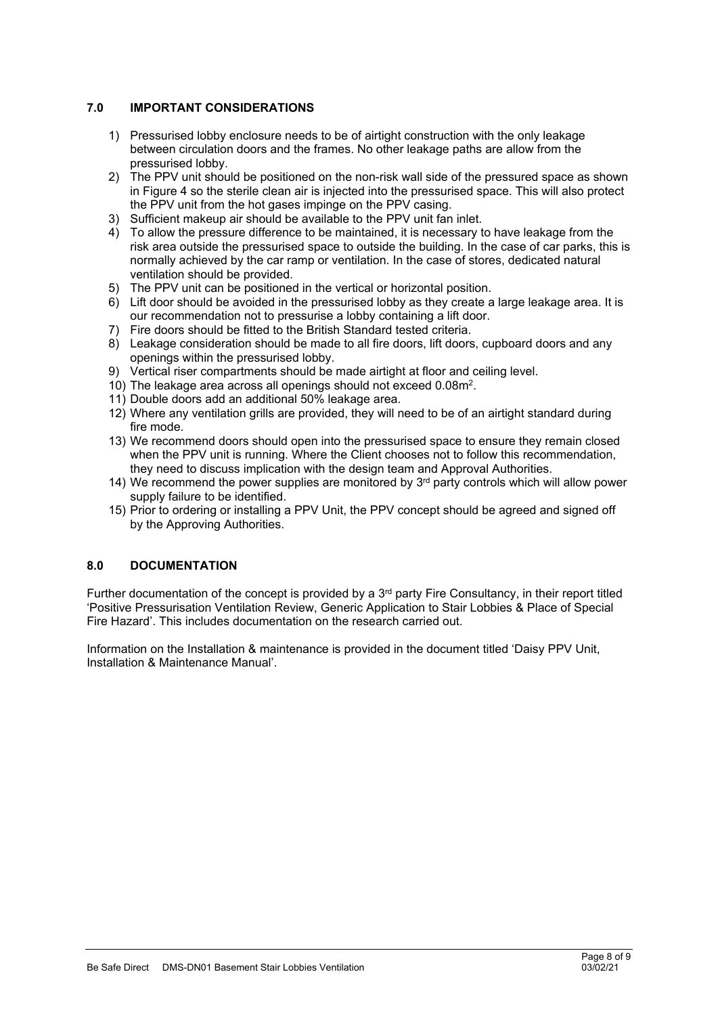## **7.0 IMPORTANT CONSIDERATIONS**

- 1) Pressurised lobby enclosure needs to be of airtight construction with the only leakage between circulation doors and the frames. No other leakage paths are allow from the pressurised lobby.
- 2) The PPV unit should be positioned on the non-risk wall side of the pressured space as shown in Figure 4 so the sterile clean air is injected into the pressurised space. This will also protect the PPV unit from the hot gases impinge on the PPV casing.
- 3) Sufficient makeup air should be available to the PPV unit fan inlet.
- 4) To allow the pressure difference to be maintained, it is necessary to have leakage from the risk area outside the pressurised space to outside the building. In the case of car parks, this is normally achieved by the car ramp or ventilation. In the case of stores, dedicated natural ventilation should be provided.
- 5) The PPV unit can be positioned in the vertical or horizontal position.
- 6) Lift door should be avoided in the pressurised lobby as they create a large leakage area. It is our recommendation not to pressurise a lobby containing a lift door.
- 7) Fire doors should be fitted to the British Standard tested criteria.
- 8) Leakage consideration should be made to all fire doors, lift doors, cupboard doors and any openings within the pressurised lobby.
- 9) Vertical riser compartments should be made airtight at floor and ceiling level.
- 10) The leakage area across all openings should not exceed 0.08m<sup>2</sup> .
- 11) Double doors add an additional 50% leakage area.
- 12) Where any ventilation grills are provided, they will need to be of an airtight standard during fire mode.
- 13) We recommend doors should open into the pressurised space to ensure they remain closed when the PPV unit is running. Where the Client chooses not to follow this recommendation, they need to discuss implication with the design team and Approval Authorities.
- 14) We recommend the power supplies are monitored by  $3<sup>rd</sup>$  party controls which will allow power supply failure to be identified.
- 15) Prior to ordering or installing a PPV Unit, the PPV concept should be agreed and signed off by the Approving Authorities.

# **8.0 DOCUMENTATION**

Further documentation of the concept is provided by a  $3<sup>rd</sup>$  party Fire Consultancy, in their report titled 'Positive Pressurisation Ventilation Review, Generic Application to Stair Lobbies & Place of Special Fire Hazard'. This includes documentation on the research carried out.

Information on the Installation & maintenance is provided in the document titled 'Daisy PPV Unit, Installation & Maintenance Manual'.